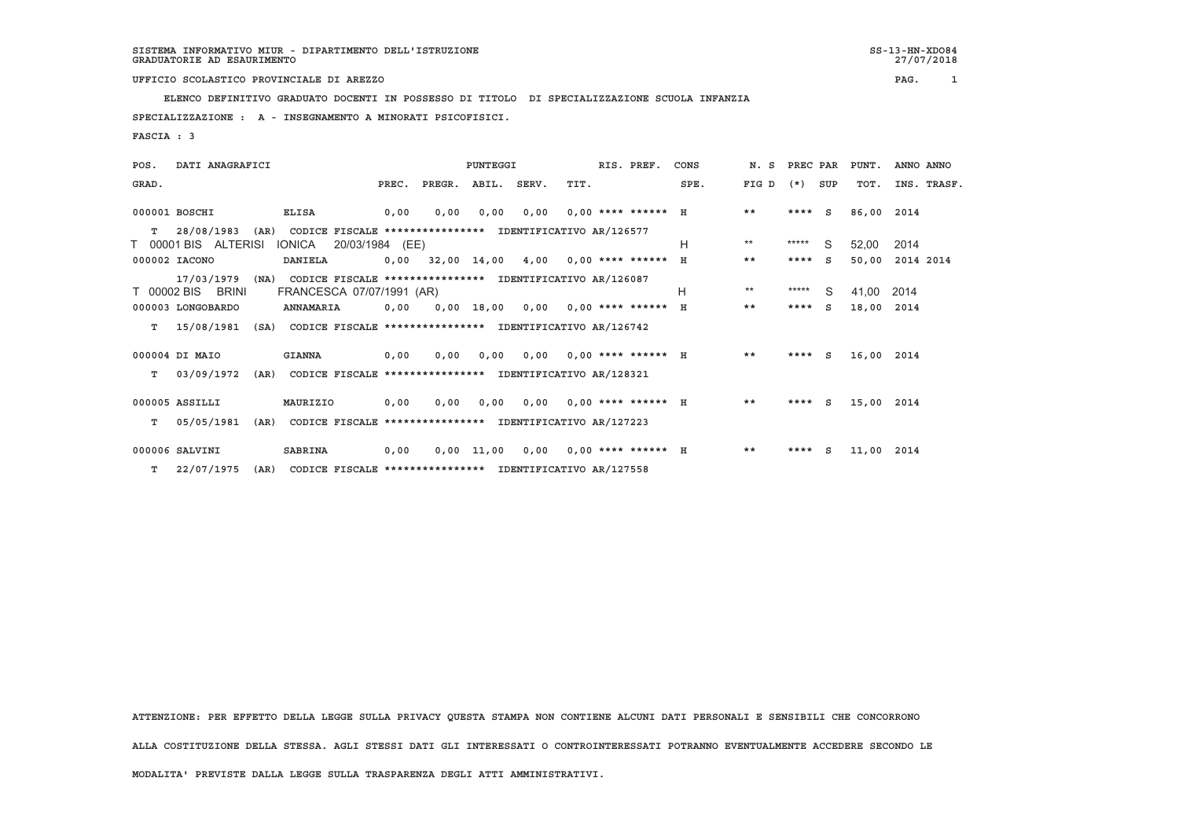27/07/2018

 **ELENCO DEFINITIVO GRADUATO DOCENTI IN POSSESSO DI TITOLO DI SPECIALIZZAZIONE SCUOLA INFANZIA**

 **SPECIALIZZAZIONE : A - INSEGNAMENTO A MINORATI PSICOFISICI.**

 **FASCIA : 3**

| POS.  | DATI ANAGRAFICI      |      |                                                               |                 |       | PUNTEGGI                                                 |            |                                      |      | RIS. PREF.                  | CONS | N. S PREC PAR |         |     | PUNT.      | ANNO ANNO   |  |
|-------|----------------------|------|---------------------------------------------------------------|-----------------|-------|----------------------------------------------------------|------------|--------------------------------------|------|-----------------------------|------|---------------|---------|-----|------------|-------------|--|
| GRAD. |                      |      |                                                               |                 | PREC. | PREGR. ABIL. SERV.                                       |            |                                      | TIT. |                             | SPE. | FIG D         | $(*)$   | SUP | TOT.       | INS. TRASF. |  |
|       | 000001 BOSCHI        |      | ELISA                                                         |                 | 0,00  | 0,00                                                     | 0,00       | 0,00                                 |      | $0.00*********$ H           |      | $* *$         | $***$ S |     | 86,00 2014 |             |  |
| T.    | 28/08/1983           | (AR) |                                                               |                 |       | CODICE FISCALE **************** IDENTIFICATIVO AR/126577 |            |                                      |      |                             |      | $***$         | *****   |     |            |             |  |
|       | T 00001 BIS ALTERISI |      | IONICA                                                        | 20/03/1984 (EE) |       |                                                          |            |                                      |      |                             | н    |               |         | S.  | 52.00      | 2014        |  |
|       | 000002 IACONO        |      | DANIELA                                                       |                 |       | $0,00$ 32,00 14,00 4,00 0,00 **** ****** H               |            |                                      |      |                             |      | $* *$         | $***$ S |     | 50,00      | 2014 2014   |  |
|       | 17/03/1979           | (NA) |                                                               |                 |       | CODICE FISCALE **************** IDENTIFICATIVO AR/126087 |            |                                      |      |                             |      |               |         |     |            |             |  |
|       | T 00002 BIS BRINI    |      | FRANCESCA 07/07/1991 (AR)                                     |                 |       |                                                          |            |                                      |      |                             | H    | $***$         | *****   | - S | 41.00      | 2014        |  |
|       | 000003 LONGOBARDO    |      | ANNAMARIA                                                     |                 | 0,00  |                                                          |            | $0,00$ 18,00 0,00 0,00 **** ****** H |      |                             |      | $* *$         | $***$ S |     | 18,00 2014 |             |  |
|       |                      |      |                                                               |                 |       |                                                          |            |                                      |      |                             |      |               |         |     |            |             |  |
| T.    | 15/08/1981           |      | (SA) CODICE FISCALE **************** IDENTIFICATIVO AR/126742 |                 |       |                                                          |            |                                      |      |                             |      |               |         |     |            |             |  |
|       | 000004 DI MAIO       |      | <b>GIANNA</b>                                                 |                 | 0,00  | 0,00                                                     | 0,00       |                                      |      | $0,00$ $0,00$ **** ****** H |      | $***$         | $***$ S |     | 16,00 2014 |             |  |
|       |                      |      |                                                               |                 |       |                                                          |            |                                      |      |                             |      |               |         |     |            |             |  |
| T.    | 03/09/1972           |      | (AR) CODICE FISCALE **************** IDENTIFICATIVO AR/128321 |                 |       |                                                          |            |                                      |      |                             |      |               |         |     |            |             |  |
|       |                      |      |                                                               |                 |       |                                                          |            |                                      |      |                             |      |               |         |     |            |             |  |
|       | 000005 ASSILLI       |      | MAURIZIO                                                      |                 | 0,00  | 0,00                                                     | 0,00       |                                      |      | $0,00$ $0,00$ **** ****** H |      | **            | $***$ S |     | 15,00 2014 |             |  |
| T.    | 05/05/1981           | (AR) |                                                               |                 |       | CODICE FISCALE **************** IDENTIFICATIVO AR/127223 |            |                                      |      |                             |      |               |         |     |            |             |  |
|       |                      |      |                                                               |                 |       |                                                          |            |                                      |      |                             |      |               |         |     |            |             |  |
|       | 000006 SALVINI       |      | SABRINA                                                       |                 | 0,00  |                                                          | 0,00 11,00 | 0,00                                 |      | $0,00$ **** ****** H        |      | $***$         | $***$ S |     | 11,00 2014 |             |  |
|       | $T = 22/07/1975$     | (AR) |                                                               |                 |       | CODICE FISCALE **************** IDENTIFICATIVO AR/127558 |            |                                      |      |                             |      |               |         |     |            |             |  |

 **ATTENZIONE: PER EFFETTO DELLA LEGGE SULLA PRIVACY QUESTA STAMPA NON CONTIENE ALCUNI DATI PERSONALI E SENSIBILI CHE CONCORRONO**

 **ALLA COSTITUZIONE DELLA STESSA. AGLI STESSI DATI GLI INTERESSATI O CONTROINTERESSATI POTRANNO EVENTUALMENTE ACCEDERE SECONDO LE**

 **MODALITA' PREVISTE DALLA LEGGE SULLA TRASPARENZA DEGLI ATTI AMMINISTRATIVI.**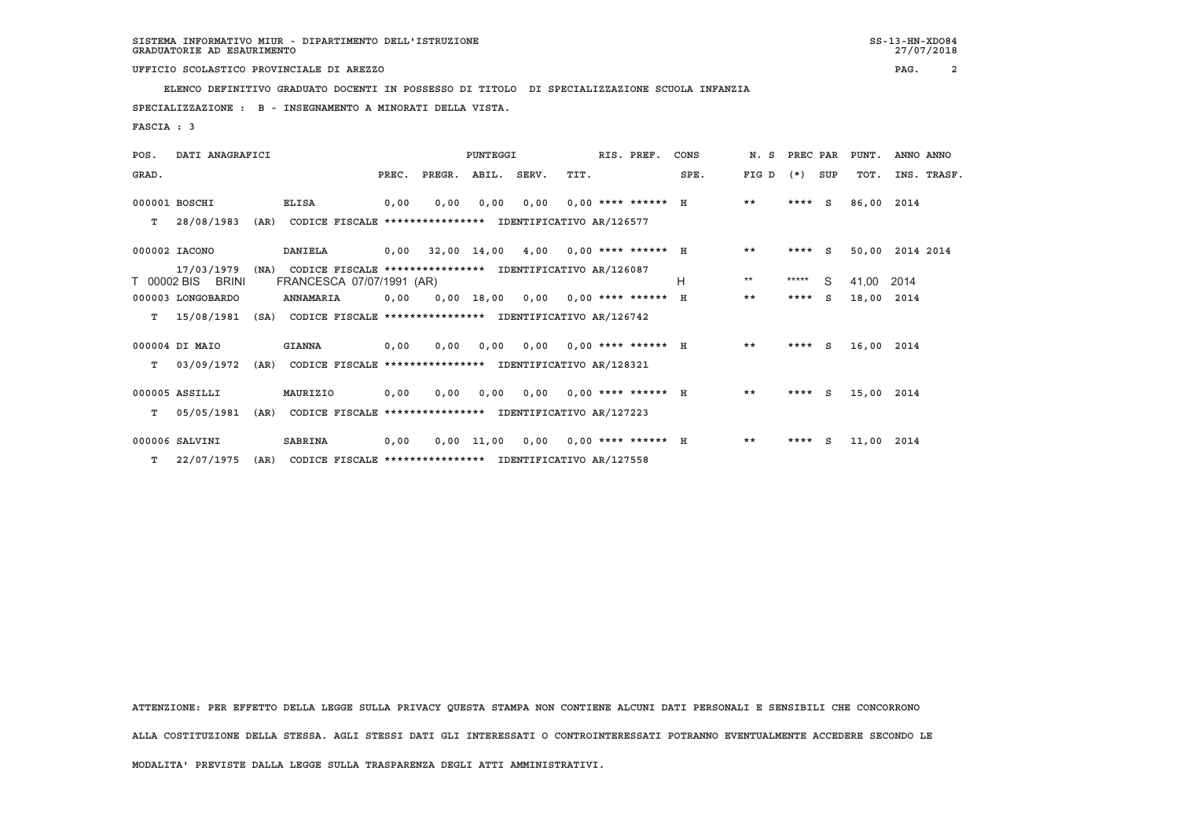**ELENCO DEFINITIVO GRADUATO DOCENTI IN POSSESSO DI TITOLO DI SPECIALIZZAZIONE SCUOLA INFANZIA**

 **SPECIALIZZAZIONE : B - INSEGNAMENTO A MINORATI DELLA VISTA.**

 **FASCIA : 3**

| POS.  | DATI ANAGRAFICI                 |      |                                                                                       | PUNTEGGI |                                            |              |      |      | RIS. PREF.                  | CONS | N.S   | PREC PAR  |     | PUNT.      | ANNO ANNO       |  |
|-------|---------------------------------|------|---------------------------------------------------------------------------------------|----------|--------------------------------------------|--------------|------|------|-----------------------------|------|-------|-----------|-----|------------|-----------------|--|
| GRAD. |                                 |      |                                                                                       |          | PREC. PREGR. ABIL. SERV.                   |              |      | TIT. |                             | SPE. | FIG D | $(*)$     | SUP | TOT.       | INS. TRASF.     |  |
|       | 000001 BOSCHI                   |      | <b>ELISA</b>                                                                          | 0,00     | 0.00                                       | 0.00         | 0.00 |      | $0.00$ **** ****** H        |      | $* *$ | $***$ S   |     | 86,00 2014 |                 |  |
| т     | 28/08/1983                      | (AR) | CODICE FISCALE **************** IDENTIFICATIVO AR/126577                              |          |                                            |              |      |      |                             |      |       |           |     |            |                 |  |
|       | 000002 IACONO                   |      | DANIELA                                                                               |          | $0,00$ 32,00 14,00 4,00 0,00 **** ****** H |              |      |      |                             |      | $***$ | $***$ S   |     |            | 50,00 2014 2014 |  |
|       | 17/03/1979<br>T 00002 BIS BRINI | (NA) | CODICE FISCALE **************** IDENTIFICATIVO AR/126087<br>FRANCESCA 07/07/1991 (AR) |          |                                            |              |      |      |                             | Н    | $***$ | $***$ *** | S.  | 41,00      | 2014            |  |
|       | 000003 LONGOBARDO               |      | ANNAMARIA                                                                             | 0.00     |                                            | $0,00$ 18,00 |      |      | $0,00$ $0,00$ **** ****** H |      | $***$ | $***$ S   |     | 18,00      | 2014            |  |
| т     | 15/08/1981                      |      | (SA) CODICE FISCALE **************** IDENTIFICATIVO AR/126742                         |          |                                            |              |      |      |                             |      |       |           |     |            |                 |  |
|       | 000004 DI MAIO                  |      | <b>GIANNA</b>                                                                         | 0,00     | 0.00                                       | 0.00         |      |      | $0,00$ $0,00$ **** ****** H |      | **    | ****      | S   | 16,00 2014 |                 |  |
| T.    | 03/09/1972                      | (AR) | CODICE FISCALE **************** IDENTIFICATIVO AR/128321                              |          |                                            |              |      |      |                             |      |       |           |     |            |                 |  |
|       | 000005 ASSILLI                  |      | MAURIZIO                                                                              | 0,00     | 0,00                                       | 0,00         |      |      | $0,00$ $0,00$ **** ****** H |      | $* *$ | $***$ S   |     | 15,00 2014 |                 |  |
| T.    | 05/05/1981                      | (AR) | CODICE FISCALE **************** IDENTIFICATIVO AR/127223                              |          |                                            |              |      |      |                             |      |       |           |     |            |                 |  |
|       | 000006 SALVINI                  |      | <b>SABRINA</b>                                                                        | 0,00     |                                            | $0,00$ 11,00 | 0,00 |      | $0,00$ **** ****** H        |      | $* *$ | $***$ S   |     | 11,00 2014 |                 |  |
| т     | 22/07/1975                      | (AR) | CODICE FISCALE **************** IDENTIFICATIVO AR/127558                              |          |                                            |              |      |      |                             |      |       |           |     |            |                 |  |

 **ATTENZIONE: PER EFFETTO DELLA LEGGE SULLA PRIVACY QUESTA STAMPA NON CONTIENE ALCUNI DATI PERSONALI E SENSIBILI CHE CONCORRONO ALLA COSTITUZIONE DELLA STESSA. AGLI STESSI DATI GLI INTERESSATI O CONTROINTERESSATI POTRANNO EVENTUALMENTE ACCEDERE SECONDO LE MODALITA' PREVISTE DALLA LEGGE SULLA TRASPARENZA DEGLI ATTI AMMINISTRATIVI.**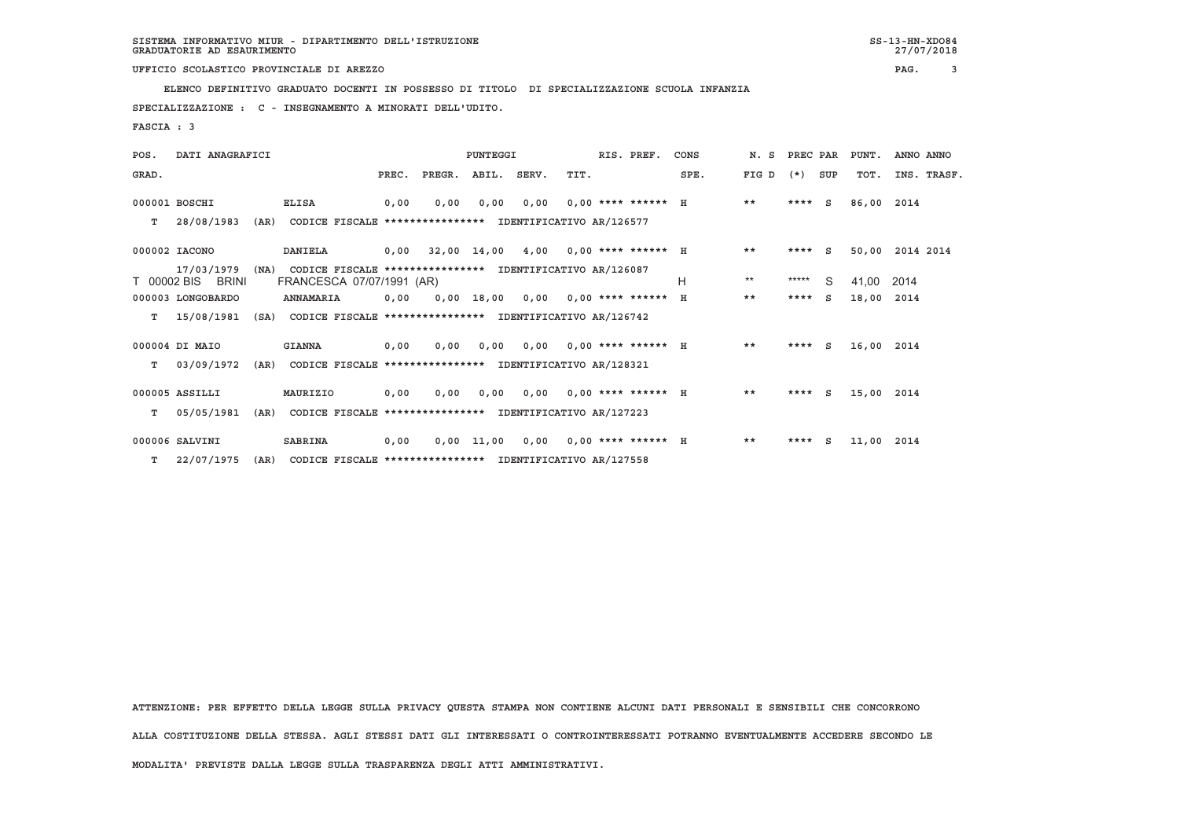**ELENCO DEFINITIVO GRADUATO DOCENTI IN POSSESSO DI TITOLO DI SPECIALIZZAZIONE SCUOLA INFANZIA**

 **SPECIALIZZAZIONE : C - INSEGNAMENTO A MINORATI DELL'UDITO.**

 **FASCIA : 3**

| POS.  | DATI ANAGRAFICI                 |      |                                                                                       | PUNTEGGI |                                            |              |       |      | RIS. PREF.                  | CONS |       | N. S PREC PAR |     | PUNT.      | ANNO ANNO   |
|-------|---------------------------------|------|---------------------------------------------------------------------------------------|----------|--------------------------------------------|--------------|-------|------|-----------------------------|------|-------|---------------|-----|------------|-------------|
| GRAD. |                                 |      |                                                                                       | PREC.    | PREGR.                                     | ABIL.        | SERV. | TIT. |                             | SPE. | FIG D | $(*)$         | SUP | TOT.       | INS. TRASF. |
|       | 000001 BOSCHI                   |      | <b>ELISA</b>                                                                          | 0,00     | 0,00                                       | 0.00         | 0,00  |      | $0.00$ **** ****** H        |      | $***$ | $***$ S       |     | 86,00      | 2014        |
| T.    | 28/08/1983                      | (AR) | CODICE FISCALE **************** IDENTIFICATIVO AR/126577                              |          |                                            |              |       |      |                             |      |       |               |     |            |             |
|       | 000002 IACONO                   |      | DANIELA                                                                               |          | $0,00$ 32,00 14,00 4,00 0,00 **** ****** H |              |       |      |                             |      | $***$ | $***$ S       |     | 50,00      | 2014 2014   |
|       | 17/03/1979<br>T 00002 BIS BRINI | (NA) | CODICE FISCALE **************** IDENTIFICATIVO AR/126087<br>FRANCESCA 07/07/1991 (AR) |          |                                            |              |       |      |                             | н    | $***$ | *****         | S.  | 41,00      | 2014        |
|       | 000003 LONGOBARDO               |      | ANNAMARIA                                                                             | 0.00     |                                            | 0,00 18,00   |       |      | $0,00$ $0,00$ **** ****** H |      | $* *$ | ****          | S.  | 18,00      | 2014        |
| т     | 15/08/1981                      |      | (SA) CODICE FISCALE **************** IDENTIFICATIVO AR/126742                         |          |                                            |              |       |      |                             |      |       |               |     |            |             |
|       | 000004 DI MAIO                  |      | <b>GIANNA</b>                                                                         | 0,00     | 0,00                                       | 0,00         |       |      | $0,00$ $0,00$ **** ****** H |      | $***$ | ****          | S   | 16,00 2014 |             |
| T.    | 03/09/1972                      | (AR) | CODICE FISCALE **************** IDENTIFICATIVO AR/128321                              |          |                                            |              |       |      |                             |      |       |               |     |            |             |
|       | 000005 ASSILLI                  |      | MAURIZIO                                                                              | 0,00     | 0.00                                       | 0,00         |       |      | $0,00$ $0,00$ **** ****** H |      | $* *$ | ****          | - S | 15,00 2014 |             |
| T.    | 05/05/1981                      | (AR) | CODICE FISCALE **************** IDENTIFICATIVO AR/127223                              |          |                                            |              |       |      |                             |      |       |               |     |            |             |
|       | 000006 SALVINI                  |      | <b>SABRINA</b>                                                                        | 0,00     |                                            | $0,00$ 11,00 |       |      | $0,00$ $0,00$ **** ****** H |      | $***$ | ****          | S   | 11,00      | 2014        |
| T.    | 22/07/1975                      | (AR) | CODICE FISCALE **************** IDENTIFICATIVO AR/127558                              |          |                                            |              |       |      |                             |      |       |               |     |            |             |

 **ATTENZIONE: PER EFFETTO DELLA LEGGE SULLA PRIVACY QUESTA STAMPA NON CONTIENE ALCUNI DATI PERSONALI E SENSIBILI CHE CONCORRONO ALLA COSTITUZIONE DELLA STESSA. AGLI STESSI DATI GLI INTERESSATI O CONTROINTERESSATI POTRANNO EVENTUALMENTE ACCEDERE SECONDO LE MODALITA' PREVISTE DALLA LEGGE SULLA TRASPARENZA DEGLI ATTI AMMINISTRATIVI.**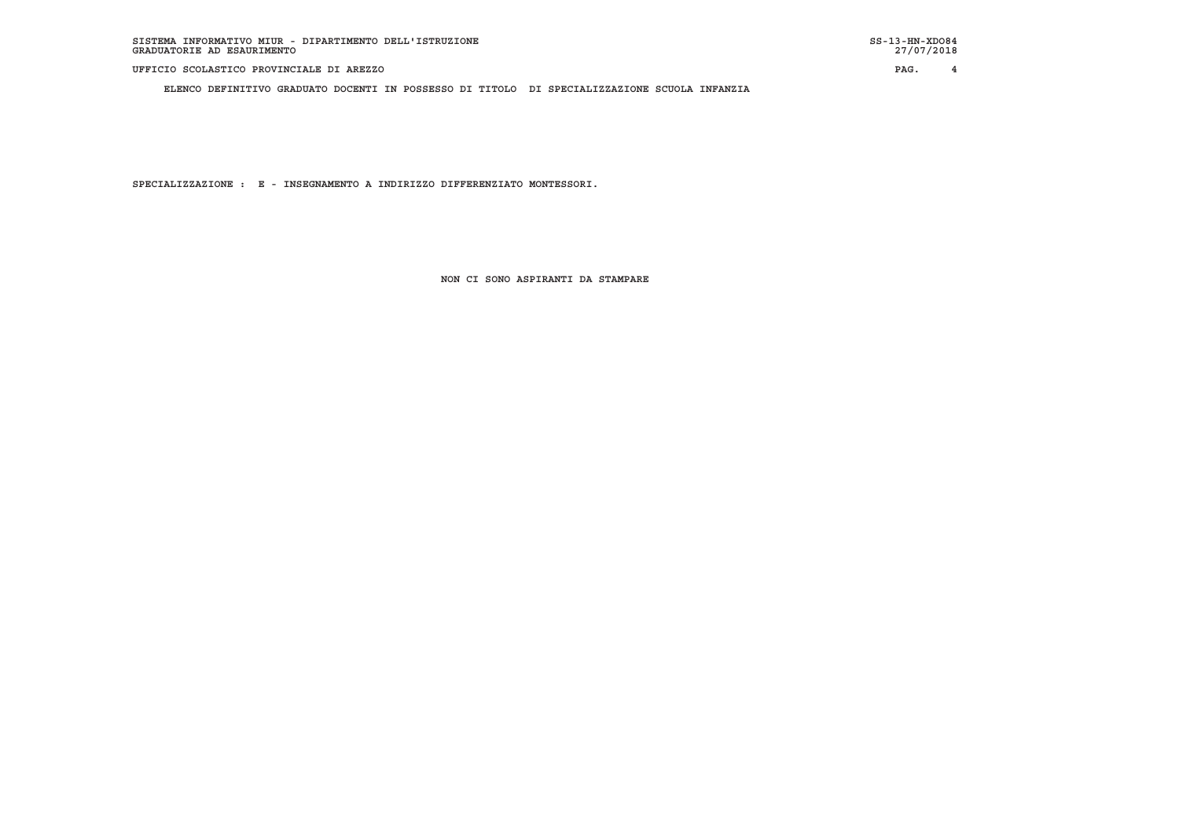**ELENCO DEFINITIVO GRADUATO DOCENTI IN POSSESSO DI TITOLO DI SPECIALIZZAZIONE SCUOLA INFANZIA**

 **SPECIALIZZAZIONE : E - INSEGNAMENTO A INDIRIZZO DIFFERENZIATO MONTESSORI.**

 **NON CI SONO ASPIRANTI DA STAMPARE**